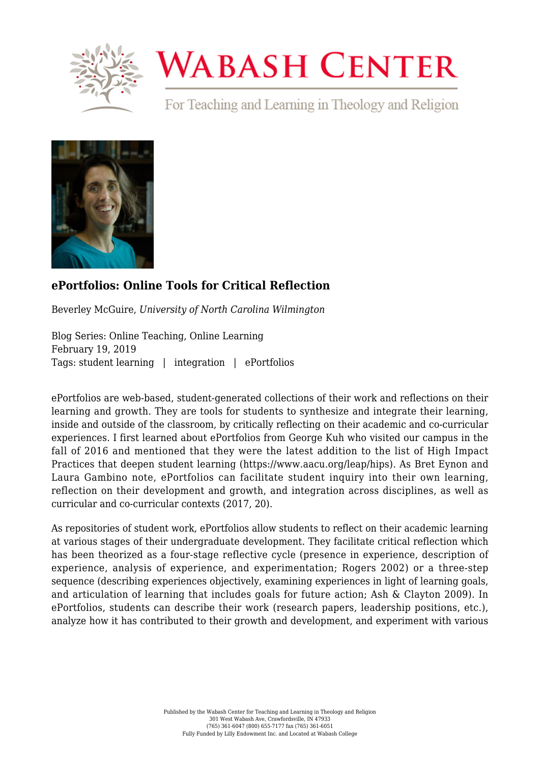

## **WABASH CENTER**

For Teaching and Learning in Theology and Religion



## **[ePortfolios: Online Tools for Critical Reflection](https://www.wabashcenter.wabash.edu/2019/02/eportfolios-online-tools-for-critical-reflection/)**

Beverley McGuire, *University of North Carolina Wilmington*

Blog Series: Online Teaching, Online Learning February 19, 2019 Tags: student learning | integration | ePortfolios

ePortfolios are web-based, student-generated collections of their work and reflections on their learning and growth. They are tools for students to synthesize and integrate their learning, inside and outside of the classroom, by critically reflecting on their academic and co-curricular experiences. I first learned about ePortfolios from George Kuh who visited our campus in the fall of 2016 and mentioned that they were the latest addition to the list of High Impact Practices that deepen student learning [\(https://www.aacu.org/leap/hips\)](https://www.aacu.org/leap/hips)). As Bret Eynon and Laura Gambino note, ePortfolios can facilitate student inquiry into their own learning, reflection on their development and growth, and integration across disciplines, as well as curricular and co-curricular contexts (2017, 20).

As repositories of student work, ePortfolios allow students to reflect on their academic learning at various stages of their undergraduate development. They facilitate critical reflection which has been theorized as a four-stage reflective cycle (presence in experience, description of experience, analysis of experience, and experimentation; Rogers 2002) or a three-step sequence (describing experiences objectively, examining experiences in light of learning goals, and articulation of learning that includes goals for future action; Ash & Clayton 2009). In ePortfolios, students can describe their work (research papers, leadership positions, etc.), analyze how it has contributed to their growth and development, and experiment with various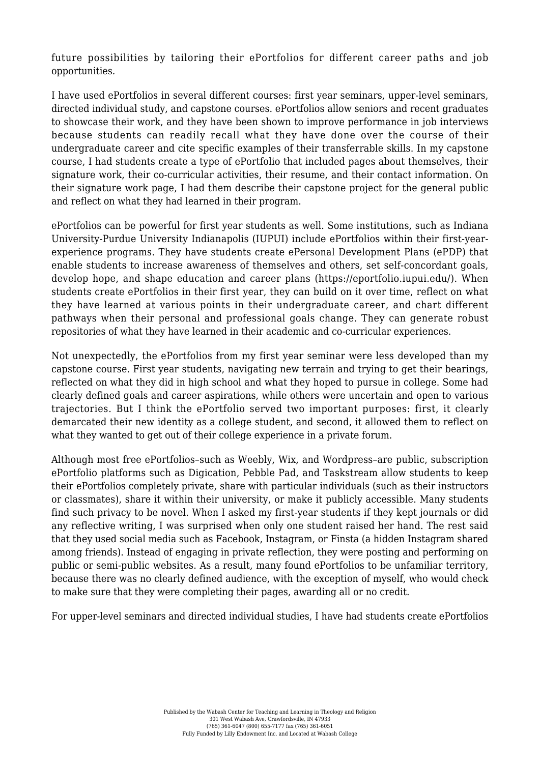future possibilities by tailoring their ePortfolios for different career paths and job opportunities.

I have used ePortfolios in several different courses: first year seminars, upper-level seminars, directed individual study, and capstone courses. ePortfolios allow seniors and recent graduates to showcase their work, and they have been shown to improve performance in job interviews because students can readily recall what they have done over the course of their undergraduate career and cite specific examples of their transferrable skills. In my capstone course, I had students create a type of ePortfolio that included pages about themselves, their signature work, their co-curricular activities, their resume, and their contact information. On their signature work page, I had them describe their capstone project for the general public and reflect on what they had learned in their program.

ePortfolios can be powerful for first year students as well. Some institutions, such as Indiana University-Purdue University Indianapolis (IUPUI) include ePortfolios within their first-yearexperience programs. They have students create ePersonal Development Plans (ePDP) that enable students to increase awareness of themselves and others, set self-concordant goals, develop hope, and shape education and career plans [\(https://eportfolio.iupui.edu/\)](https://eportfolio.iupui.edu/). When students create ePortfolios in their first year, they can build on it over time, reflect on what they have learned at various points in their undergraduate career, and chart different pathways when their personal and professional goals change. They can generate robust repositories of what they have learned in their academic and co-curricular experiences.

Not unexpectedly, the ePortfolios from my first year seminar were less developed than my capstone course. First year students, navigating new terrain and trying to get their bearings, reflected on what they did in high school and what they hoped to pursue in college. Some had clearly defined goals and career aspirations, while others were uncertain and open to various trajectories. But I think the ePortfolio served two important purposes: first, it clearly demarcated their new identity as a college student, and second, it allowed them to reflect on what they wanted to get out of their college experience in a private forum.

Although most free ePortfolios–such as Weebly, Wix, and Wordpress–are public, subscription ePortfolio platforms such as Digication, Pebble Pad, and Taskstream allow students to keep their ePortfolios completely private, share with particular individuals (such as their instructors or classmates), share it within their university, or make it publicly accessible. Many students find such privacy to be novel. When I asked my first-year students if they kept journals or did any reflective writing, I was surprised when only one student raised her hand. The rest said that they used social media such as Facebook, Instagram, or Finsta (a hidden Instagram shared among friends). Instead of engaging in private reflection, they were posting and performing on public or semi-public websites. As a result, many found ePortfolios to be unfamiliar territory, because there was no clearly defined audience, with the exception of myself, who would check to make sure that they were completing their pages, awarding all or no credit.

For upper-level seminars and directed individual studies, I have had students create ePortfolios